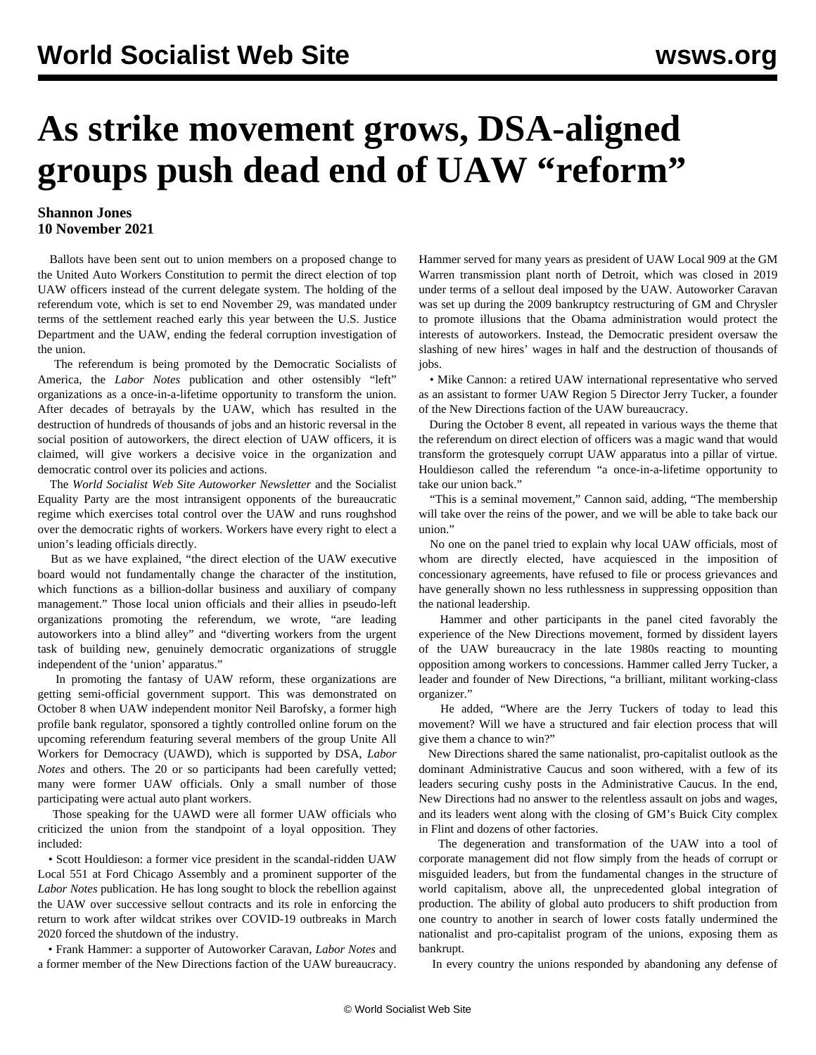## **As strike movement grows, DSA-aligned groups push dead end of UAW "reform"**

## **Shannon Jones 10 November 2021**

 Ballots have been sent out to union members on a proposed change to the United Auto Workers Constitution to permit the direct election of top UAW officers instead of the current delegate system. The holding of the referendum vote, which is set to end November 29, was mandated under terms of the settlement reached early this year between the U.S. Justice Department and the UAW, ending the federal corruption investigation of the union.

 The referendum is being promoted by the Democratic Socialists of America, the *Labor Notes* publication and other ostensibly "left" organizations as a once-in-a-lifetime opportunity to transform the union. After decades of betrayals by the UAW, which has resulted in the destruction of hundreds of thousands of jobs and an historic reversal in the social position of autoworkers, the direct election of UAW officers, it is claimed, will give workers a decisive voice in the organization and democratic control over its policies and actions.

 The *World Socialist Web Site Autoworker Newsletter* and the Socialist Equality Party are the most intransigent opponents of the bureaucratic regime which exercises total control over the UAW and runs roughshod over the democratic rights of workers. Workers have every right to elect a union's leading officials directly.

 But as we have [explained](/en/articles/2021/10/06/auto-o06.html), "the direct election of the UAW executive board would not fundamentally change the character of the institution, which functions as a billion-dollar business and auxiliary of company management." Those local union officials and their allies in pseudo-left organizations promoting the referendum, we wrote, "are leading autoworkers into a blind alley" and "diverting workers from the urgent task of building new, genuinely democratic organizations of struggle independent of the 'union' apparatus."

 In promoting the fantasy of UAW reform, these organizations are getting semi-official government support. This was demonstrated on October 8 when UAW independent monitor Neil Barofsky, a former high profile bank regulator, sponsored a tightly controlled online forum on the upcoming referendum featuring several members of the group Unite All Workers for Democracy (UAWD), which is supported by DSA, *Labor Notes* and others. The 20 or so participants had been carefully vetted; many were former UAW officials. Only a small number of those participating were actual auto plant workers.

 Those speaking for the UAWD were all former UAW officials who criticized the union from the standpoint of a loyal opposition. They included:

 • Scott Houldieson: a former vice president in the scandal-ridden UAW Local 551 at Ford Chicago Assembly and a prominent supporter of the *Labor Notes* publication. He has long sought to block the rebellion against the UAW over successive sellout contracts and its role in enforcing the return to work after wildcat strikes over COVID-19 outbreaks in March 2020 forced the shutdown of the industry.

 • Frank Hammer: a supporter of Autoworker Caravan, *Labor Notes* and a former member of the New Directions faction of the UAW bureaucracy.

Hammer served for many years as president of UAW Local 909 at the GM Warren transmission plant north of Detroit, which was closed in 2019 under terms of a sellout deal imposed by the UAW. Autoworker Caravan was set up during the 2009 bankruptcy restructuring of GM and Chrysler to promote illusions that the Obama administration would protect the interests of autoworkers. Instead, the Democratic president oversaw the slashing of new hires' wages in half and the destruction of thousands of jobs.

 • Mike Cannon: a retired UAW international representative who served as an assistant to former UAW Region 5 Director Jerry Tucker, a founder of the New Directions faction of the UAW bureaucracy.

 During the October 8 event, all repeated in various ways the theme that the referendum on direct election of officers was a magic wand that would transform the grotesquely corrupt UAW apparatus into a pillar of virtue. Houldieson called the referendum "a once-in-a-lifetime opportunity to take our union back."

 "This is a seminal movement," Cannon said, adding, "The membership will take over the reins of the power, and we will be able to take back our union."

 No one on the panel tried to explain why local UAW officials, most of whom are directly elected, have acquiesced in the imposition of concessionary agreements, have refused to file or process grievances and have generally shown no less ruthlessness in suppressing opposition than the national leadership.

 Hammer and other participants in the panel cited favorably the experience of the New Directions movement, formed by dissident layers of the UAW bureaucracy in the late 1980s reacting to mounting opposition among workers to concessions. Hammer called Jerry Tucker, a leader and founder of New Directions, "a brilliant, militant working-class organizer."

 He added, "Where are the Jerry Tuckers of today to lead this movement? Will we have a structured and fair election process that will give them a chance to win?"

 New Directions shared the same nationalist, pro-capitalist outlook as the dominant Administrative Caucus and soon withered, with a few of its leaders securing cushy posts in the Administrative Caucus. In the end, New Directions had no answer to the relentless assault on jobs and wages, and its leaders went along with the closing of GM's Buick City complex in Flint and dozens of other factories.

 The degeneration and transformation of the UAW into a tool of corporate management did not flow simply from the heads of corrupt or misguided leaders, but from the fundamental changes in the structure of world capitalism, above all, the unprecedented global integration of production. The ability of global auto producers to shift production from one country to another in search of lower costs fatally undermined the nationalist and pro-capitalist program of the unions, exposing them as bankrupt.

In every country the unions responded by abandoning any defense of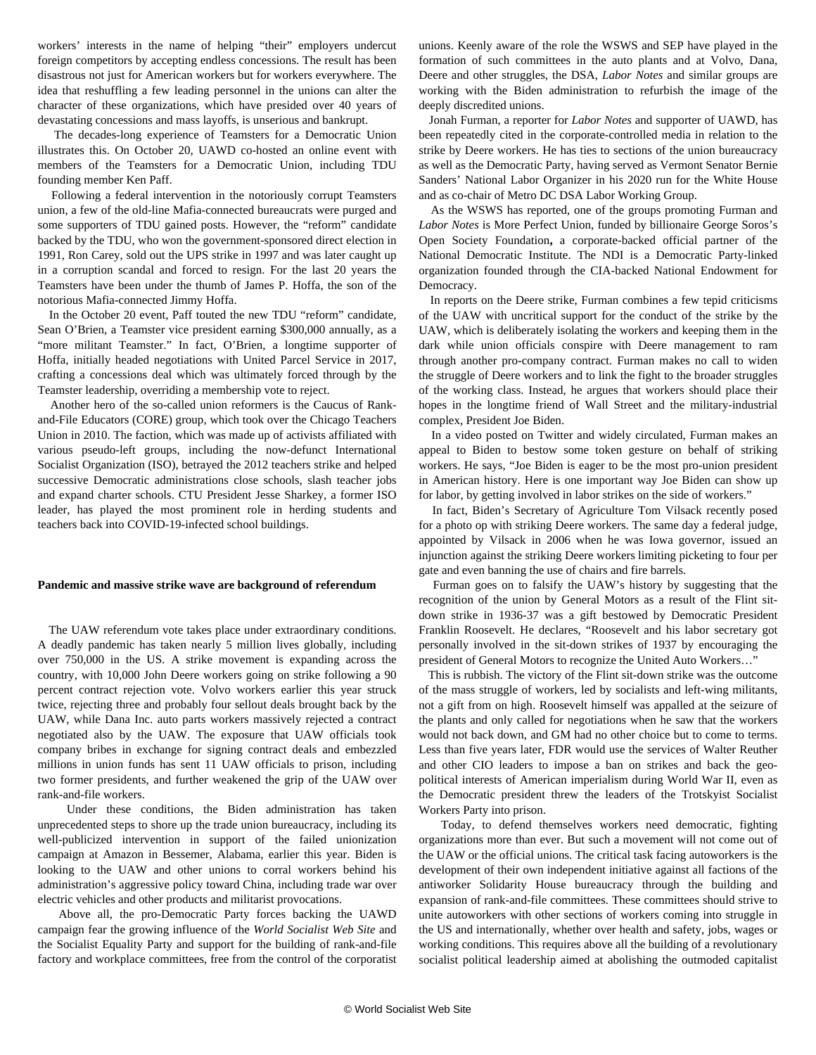workers' interests in the name of helping "their" employers undercut foreign competitors by accepting endless concessions. The result has been disastrous not just for American workers but for workers everywhere. The idea that reshuffling a few leading personnel in the unions can alter the character of these organizations, which have presided over 40 years of devastating concessions and mass layoffs, is unserious and bankrupt.

 The decades-long experience of Teamsters for a Democratic Union illustrates this. On October 20, UAWD co-hosted an online event with members of the Teamsters for a Democratic Union, including TDU founding member Ken Paff.

 Following a federal intervention in the notoriously corrupt Teamsters union, a few of the old-line Mafia-connected bureaucrats were purged and some supporters of TDU gained posts. However, the "reform" candidate backed by the TDU, who won the government-sponsored direct election in 1991, Ron Carey, sold out the UPS strike in 1997 and was later caught up in a corruption scandal and forced to resign. For the last 20 years the Teamsters have been under the thumb of James P. Hoffa, the son of the notorious Mafia-connected Jimmy Hoffa.

 In the October 20 event, Paff touted the new TDU "reform" candidate, Sean O'Brien, a Teamster vice president earning \$300,000 annually, as a "more militant Teamster." In fact, O'Brien, a longtime supporter of Hoffa, initially headed negotiations with United Parcel Service in 2017, crafting a concessions deal which was ultimately forced through by the Teamster leadership, overriding a membership vote to reject.

 Another hero of the so-called union reformers is the Caucus of Rankand-File Educators (CORE) group, which took over the Chicago Teachers Union in 2010. The faction, which was made up of activists affiliated with various pseudo-left groups, including the now-defunct International Socialist Organization (ISO), betrayed the 2012 teachers strike and helped successive Democratic administrations close schools, slash teacher jobs and expand charter schools. CTU President Jesse Sharkey, a former ISO leader, has played the most prominent role in herding students and teachers back into COVID-19-infected school buildings.

## **Pandemic and massive strike wave are background of referendum**

 The UAW referendum vote takes place under extraordinary conditions. A deadly pandemic has taken nearly 5 million lives globally, including over 750,000 in the US. A strike movement is expanding across the country, with 10,000 John Deere workers going on strike following a 90 percent contract rejection vote. Volvo workers earlier this year struck twice, rejecting three and probably four sellout deals brought back by the UAW, while Dana Inc. auto parts workers massively rejected a contract negotiated also by the UAW. The exposure that UAW officials took company bribes in exchange for signing contract deals and embezzled millions in union funds has sent 11 UAW officials to prison, including two former presidents, and further weakened the grip of the UAW over rank-and-file workers.

 Under these conditions, the Biden administration has taken unprecedented steps to shore up the trade union bureaucracy, including its well-publicized intervention in support of the failed unionization campaign at Amazon in Bessemer, Alabama, earlier this year. Biden is looking to the UAW and other unions to corral workers behind his administration's aggressive policy toward China, including trade war over electric vehicles and other products and militarist provocations.

 Above all, the pro-Democratic Party forces backing the UAWD campaign fear the growing influence of the *World Socialist Web Site* and the Socialist Equality Party and support for the building of rank-and-file factory and workplace committees, free from the control of the corporatist unions. Keenly aware of the role the WSWS and SEP have played in the formation of such committees in the auto plants and at Volvo, Dana, Deere and other struggles, the DSA, *Labor Notes* and similar groups are working with the Biden administration to refurbish the image of the deeply discredited unions.

 Jonah Furman, a reporter for *Labor Notes* and supporter of UAWD, has been repeatedly cited in the corporate-controlled media in relation to the strike by Deere workers. He has ties to sections of the union bureaucracy as well as the Democratic Party, having served as Vermont Senator Bernie Sanders' National Labor Organizer in his 2020 run for the White House and as co-chair of Metro DC DSA Labor Working Group.

 As the WSWS has [reported,](/en/articles/2021/11/09/smit-n09.html) one of the groups promoting Furman and *Labor Notes* is More Perfect Union, funded by billionaire George Soros's Open Society Foundation**,** a corporate-backed official partner of the National Democratic Institute. The NDI is a Democratic Party-linked organization founded through the CIA-backed National Endowment for Democracy.

 In reports on the Deere strike, Furman combines a few tepid criticisms of the UAW with uncritical support for the conduct of the strike by the UAW, which is deliberately isolating the workers and keeping them in the dark while union officials conspire with Deere management to ram through another pro-company contract. Furman makes no call to widen the struggle of Deere workers and to link the fight to the broader struggles of the working class. Instead, he argues that workers should place their hopes in the longtime friend of Wall Street and the military-industrial complex, President Joe Biden.

 In a video posted on Twitter and widely circulated, Furman makes an appeal to Biden to bestow some token gesture on behalf of striking workers. He says, "Joe Biden is eager to be the most pro-union president in American history. Here is one important way Joe Biden can show up for labor, by getting involved in labor strikes on the side of workers."

 In fact, Biden's Secretary of Agriculture Tom Vilsack recently posed for a photo op with striking Deere workers. The same day a federal judge, appointed by Vilsack in 2006 when he was Iowa governor, issued an injunction against the striking Deere workers limiting picketing to four per gate and even banning the use of chairs and fire barrels.

 Furman goes on to falsify the UAW's history by suggesting that the recognition of the union by General Motors as a result of the Flint sitdown strike in 1936-37 was a gift bestowed by Democratic President Franklin Roosevelt. He declares, "Roosevelt and his labor secretary got personally involved in the sit-down strikes of 1937 by encouraging the president of General Motors to recognize the United Auto Workers...'

 This is rubbish. The victory of the Flint sit-down strike was the outcome of the mass struggle of workers, led by socialists and left-wing militants, not a gift from on high. Roosevelt himself was appalled at the seizure of the plants and only called for negotiations when he saw that the workers would not back down, and GM had no other choice but to come to terms. Less than five years later, FDR would use the services of Walter Reuther and other CIO leaders to impose a ban on strikes and back the geopolitical interests of American imperialism during World War II, even as the Democratic president threw the leaders of the Trotskyist Socialist Workers Party into prison.

 Today, to defend themselves workers need democratic, fighting organizations more than ever. But such a movement will not come out of the UAW or the official unions. The critical task facing autoworkers is the development of their own independent initiative against all factions of the antiworker Solidarity House bureaucracy through the building and expansion of rank-and-file committees. These committees should strive to unite autoworkers with other sections of workers coming into struggle in the US and internationally, whether over health and safety, jobs, wages or working conditions. This requires above all the building of a revolutionary socialist political leadership aimed at abolishing the outmoded capitalist